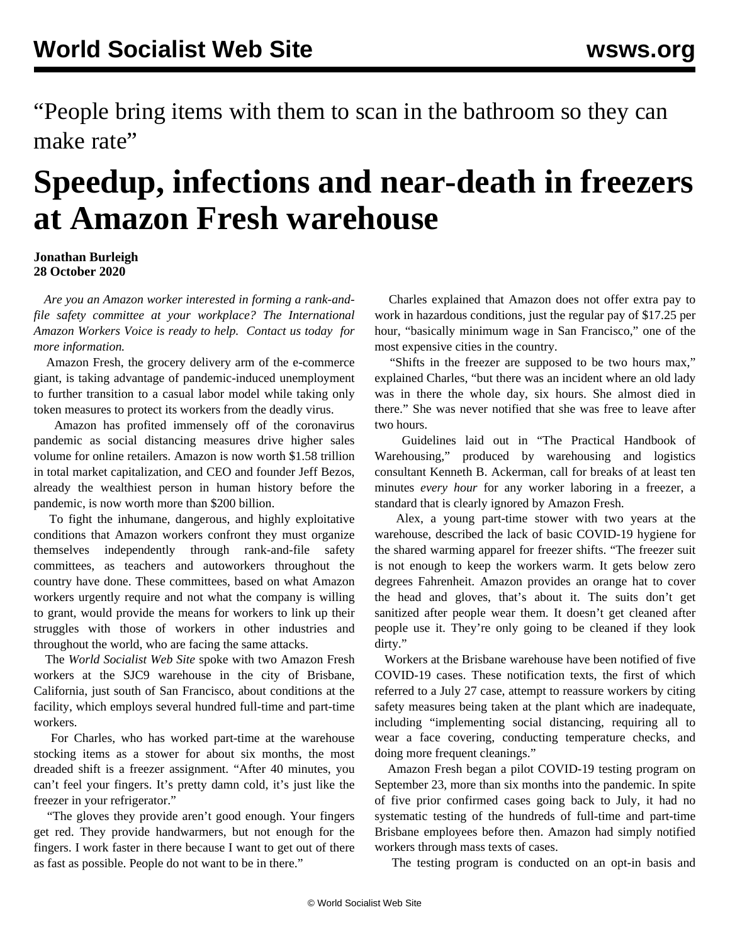"People bring items with them to scan in the bathroom so they can make rate"

## **Speedup, infections and near-death in freezers at Amazon Fresh warehouse**

## **Jonathan Burleigh 28 October 2020**

 *Are you an Amazon worker interested in forming a rank-andfile safety committee at your workplace? The International Amazon Workers Voice is ready to help. [Contact us today](https://tools.wsws.org/wsws/forms/amazon-newsletter.html) for more information.*

 Amazon Fresh, the grocery delivery arm of the e-commerce giant, is taking advantage of pandemic-induced unemployment to further transition to a casual labor model while taking only token measures to protect its workers from the deadly virus.

 Amazon has profited immensely off of the coronavirus pandemic as social distancing measures drive higher sales volume for online retailers. Amazon is now worth \$1.58 trillion in total market capitalization, and CEO and founder Jeff Bezos, already the wealthiest person in human history before the pandemic, is now worth more than \$200 billion.

 To fight the inhumane, dangerous, and highly exploitative conditions that Amazon workers confront they must organize themselves independently through rank-and-file safety committees, as [teachers](/en/special/pages/educators-rank-and-file-committee.html) and [autoworkers](/en/articles/2020/08/10/auto-a10.html) throughout the country have done. These committees, based on what Amazon workers urgently require and not what the company is willing to grant, would provide the means for workers to link up their struggles with those of workers in other industries and throughout the world, who are facing the same attacks.

 The *World Socialist Web Site* spoke with two Amazon Fresh workers at the SJC9 warehouse in the city of Brisbane, California, just south of San Francisco, about conditions at the facility, which employs several hundred full-time and part-time workers.

 For Charles, who has worked part-time at the warehouse stocking items as a stower for about six months, the most dreaded shift is a freezer assignment. "After 40 minutes, you can't feel your fingers. It's pretty damn cold, it's just like the freezer in your refrigerator."

 "The gloves they provide aren't good enough. Your fingers get red. They provide handwarmers, but not enough for the fingers. I work faster in there because I want to get out of there as fast as possible. People do not want to be in there."

 Charles explained that Amazon does not offer extra pay to work in hazardous conditions, just the regular pay of \$17.25 per hour, "basically minimum wage in San Francisco," one of the most expensive cities in the country.

 "Shifts in the freezer are supposed to be two hours max," explained Charles, "but there was an incident where an old lady was in there the whole day, six hours. She almost died in there." She was never notified that she was free to leave after two hours.

 Guidelines laid out in "The Practical Handbook of Warehousing," produced by warehousing and logistics consultant Kenneth B. Ackerman, call for breaks of at least ten minutes *every hour* for any worker laboring in a freezer, a standard that is clearly ignored by Amazon Fresh.

 Alex, a young part-time stower with two years at the warehouse, described the lack of basic COVID-19 hygiene for the shared warming apparel for freezer shifts. "The freezer suit is not enough to keep the workers warm. It gets below zero degrees Fahrenheit. Amazon provides an orange hat to cover the head and gloves, that's about it. The suits don't get sanitized after people wear them. It doesn't get cleaned after people use it. They're only going to be cleaned if they look dirty."

 Workers at the Brisbane warehouse have been notified of five COVID-19 cases. These notification texts, the first of which referred to a July 27 case, attempt to reassure workers by citing safety measures being taken at the plant which are inadequate, including "implementing social distancing, requiring all to wear a face covering, conducting temperature checks, and doing more frequent cleanings."

 Amazon Fresh began a pilot COVID-19 testing program on September 23, more than six months into the pandemic. In spite of five prior confirmed cases going back to July, it had no systematic testing of the hundreds of full-time and part-time Brisbane employees before then. Amazon had simply notified workers through mass texts of cases.

The testing program is conducted on an opt-in basis and